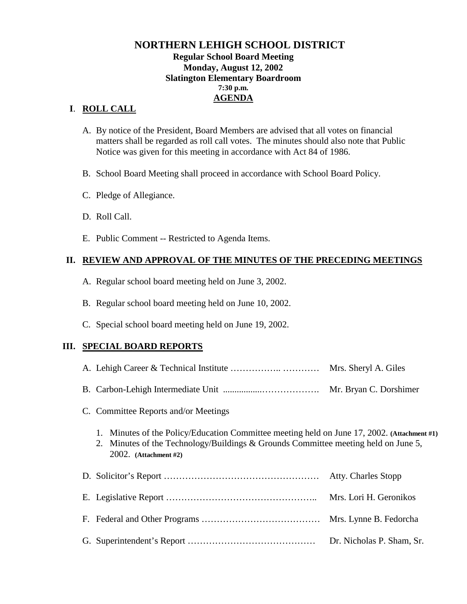## **NORTHERN LEHIGH SCHOOL DISTRICT Regular School Board Meeting Monday, August 12, 2002 Slatington Elementary Boardroom 7:30 p.m. AGENDA**

## **I**. **ROLL CALL**

- A. By notice of the President, Board Members are advised that all votes on financial matters shall be regarded as roll call votes. The minutes should also note that Public Notice was given for this meeting in accordance with Act 84 of 1986.
- B. School Board Meeting shall proceed in accordance with School Board Policy.
- C. Pledge of Allegiance.
- D. Roll Call.
- E. Public Comment -- Restricted to Agenda Items.

## **II. REVIEW AND APPROVAL OF THE MINUTES OF THE PRECEDING MEETINGS**

- A. Regular school board meeting held on June 3, 2002.
- B. Regular school board meeting held on June 10, 2002.
- C. Special school board meeting held on June 19, 2002.

## **III. SPECIAL BOARD REPORTS**

|                                                                                                                                                                                                            | Mrs. Sheryl A. Giles       |  |  |  |
|------------------------------------------------------------------------------------------------------------------------------------------------------------------------------------------------------------|----------------------------|--|--|--|
|                                                                                                                                                                                                            | Mr. Bryan C. Dorshimer     |  |  |  |
| C. Committee Reports and/or Meetings                                                                                                                                                                       |                            |  |  |  |
| 1. Minutes of the Policy/Education Committee meeting held on June 17, 2002. (Attachment #1)<br>2. Minutes of the Technology/Buildings & Grounds Committee meeting held on June 5,<br>2002. (Attachment #2) |                            |  |  |  |
|                                                                                                                                                                                                            | <b>Atty. Charles Stopp</b> |  |  |  |
|                                                                                                                                                                                                            | Mrs. Lori H. Geronikos     |  |  |  |
|                                                                                                                                                                                                            | Mrs. Lynne B. Fedorcha     |  |  |  |
|                                                                                                                                                                                                            |                            |  |  |  |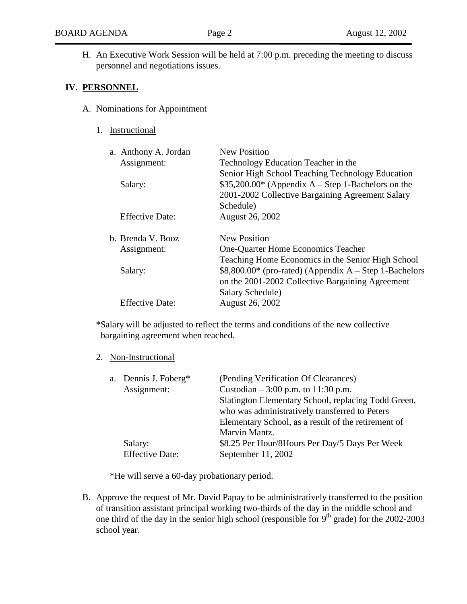H. An Executive Work Session will be held at 7:00 p.m. preceding the meeting to discuss personnel and negotiations issues.

#### **IV. PERSONNEL**

- A. Nominations for Appointment
	- 1. Instructional

| a. Anthony A. Jordan   | <b>New Position</b>                                     |
|------------------------|---------------------------------------------------------|
| Assignment:            | Technology Education Teacher in the                     |
|                        | Senior High School Teaching Technology Education        |
| Salary:                | $$35,200.00*$ (Appendix A – Step 1-Bachelors on the     |
|                        | 2001-2002 Collective Bargaining Agreement Salary        |
|                        | Schedule)                                               |
| <b>Effective Date:</b> | <b>August 26, 2002</b>                                  |
|                        |                                                         |
| b. Brenda V. Booz      | New Position                                            |
| Assignment:            | One-Quarter Home Economics Teacher                      |
|                        | Teaching Home Economics in the Senior High School       |
| Salary:                | $$8,800.00*$ (pro-rated) (Appendix A – Step 1-Bachelors |
|                        | on the 2001-2002 Collective Bargaining Agreement        |
|                        | Salary Schedule)                                        |
| <b>Effective Date:</b> | <b>August 26, 2002</b>                                  |
|                        |                                                         |

\*Salary will be adjusted to reflect the terms and conditions of the new collective bargaining agreement when reached.

#### 2. Non-Instructional

| a. Dennis J. Foberg*<br>Assignment:<br>Salary: | (Pending Verification Of Clearances)<br>Custodian $-3:00$ p.m. to 11:30 p.m.<br>Slatington Elementary School, replacing Todd Green,<br>who was administratively transferred to Peters<br>Elementary School, as a result of the retirement of<br>Marvin Mantz.<br>\$8.25 Per Hour/8Hours Per Day/5 Days Per Week |
|------------------------------------------------|-----------------------------------------------------------------------------------------------------------------------------------------------------------------------------------------------------------------------------------------------------------------------------------------------------------------|
| <b>Effective Date:</b>                         | September 11, 2002                                                                                                                                                                                                                                                                                              |

\*He will serve a 60-day probationary period.

B. Approve the request of Mr. David Papay to be administratively transferred to the position of transition assistant principal working two-thirds of the day in the middle school and one third of the day in the senior high school (responsible for  $9<sup>th</sup>$  grade) for the 2002-2003 school year.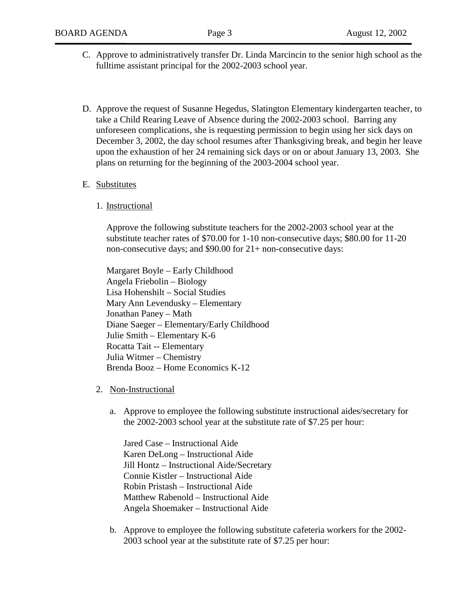- C. Approve to administratively transfer Dr. Linda Marcincin to the senior high school as the fulltime assistant principal for the 2002-2003 school year.
- D. Approve the request of Susanne Hegedus, Slatington Elementary kindergarten teacher, to take a Child Rearing Leave of Absence during the 2002-2003 school. Barring any unforeseen complications, she is requesting permission to begin using her sick days on December 3, 2002, the day school resumes after Thanksgiving break, and begin her leave upon the exhaustion of her 24 remaining sick days or on or about January 13, 2003. She plans on returning for the beginning of the 2003-2004 school year.

#### E. Substitutes

1. Instructional

Approve the following substitute teachers for the 2002-2003 school year at the substitute teacher rates of \$70.00 for 1-10 non-consecutive days; \$80.00 for 11-20 non-consecutive days; and \$90.00 for 21+ non-consecutive days:

 Margaret Boyle – Early Childhood Angela Friebolin – Biology Lisa Hohenshilt – Social Studies Mary Ann Levendusky – Elementary Jonathan Paney – Math Diane Saeger – Elementary/Early Childhood Julie Smith – Elementary K-6 Rocatta Tait -- Elementary Julia Witmer – Chemistry Brenda Booz – Home Economics K-12

- 2. Non-Instructional
	- a. Approve to employee the following substitute instructional aides/secretary for the 2002-2003 school year at the substitute rate of \$7.25 per hour:

Jared Case – Instructional Aide Karen DeLong – Instructional Aide Jill Hontz – Instructional Aide/Secretary Connie Kistler – Instructional Aide Robin Pristash – Instructional Aide Matthew Rabenold – Instructional Aide Angela Shoemaker – Instructional Aide

b. Approve to employee the following substitute cafeteria workers for the 2002- 2003 school year at the substitute rate of \$7.25 per hour: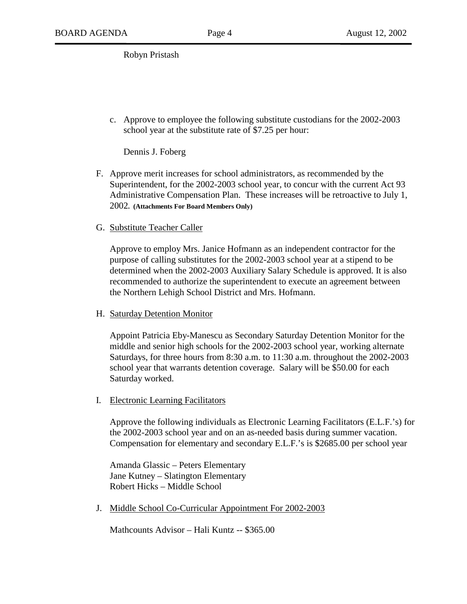Robyn Pristash

c. Approve to employee the following substitute custodians for the 2002-2003 school year at the substitute rate of \$7.25 per hour:

Dennis J. Foberg

- F. Approve merit increases for school administrators, as recommended by the Superintendent, for the 2002-2003 school year, to concur with the current Act 93 Administrative Compensation Plan. These increases will be retroactive to July 1, 2002**. (Attachments For Board Members Only)**
- G. Substitute Teacher Caller

Approve to employ Mrs. Janice Hofmann as an independent contractor for the purpose of calling substitutes for the 2002-2003 school year at a stipend to be determined when the 2002-2003 Auxiliary Salary Schedule is approved. It is also recommended to authorize the superintendent to execute an agreement between the Northern Lehigh School District and Mrs. Hofmann.

H. Saturday Detention Monitor

Appoint Patricia Eby-Manescu as Secondary Saturday Detention Monitor for the middle and senior high schools for the 2002-2003 school year, working alternate Saturdays, for three hours from 8:30 a.m. to 11:30 a.m. throughout the 2002-2003 school year that warrants detention coverage. Salary will be \$50.00 for each Saturday worked.

I. Electronic Learning Facilitators

Approve the following individuals as Electronic Learning Facilitators (E.L.F.'s) for the 2002-2003 school year and on an as-needed basis during summer vacation. Compensation for elementary and secondary E.L.F.'s is \$2685.00 per school year

 Amanda Glassic – Peters Elementary Jane Kutney – Slatington Elementary Robert Hicks – Middle School

J. Middle School Co-Curricular Appointment For 2002-2003

Mathcounts Advisor – Hali Kuntz -- \$365.00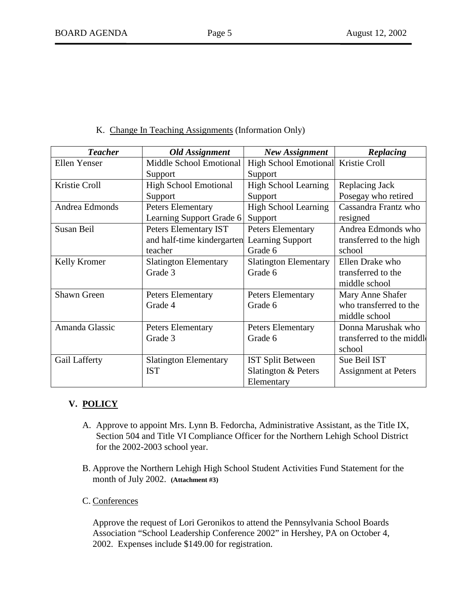K. Change In Teaching Assignments (Information Only)

| <b>Teacher</b> | <b>Old Assignment</b>        | <b>New Assignment</b>               | Replacing                 |
|----------------|------------------------------|-------------------------------------|---------------------------|
| Ellen Yenser   | Middle School Emotional      | High School Emotional Kristie Croll |                           |
|                | Support                      | Support                             |                           |
| Kristie Croll  | <b>High School Emotional</b> | <b>High School Learning</b>         | Replacing Jack            |
|                | Support                      | Support                             | Posegay who retired       |
| Andrea Edmonds | <b>Peters Elementary</b>     | <b>High School Learning</b>         | Cassandra Frantz who      |
|                | Learning Support Grade 6     | Support                             | resigned                  |
| Susan Beil     | Peters Elementary IST        | <b>Peters Elementary</b>            | Andrea Edmonds who        |
|                | and half-time kindergarten   | <b>Learning Support</b>             | transferred to the high   |
|                | teacher                      | Grade 6                             | school                    |
| Kelly Kromer   | <b>Slatington Elementary</b> | <b>Slatington Elementary</b>        | Ellen Drake who           |
|                | Grade 3                      | Grade 6                             | transferred to the        |
|                |                              |                                     | middle school             |
| Shawn Green    | <b>Peters Elementary</b>     | <b>Peters Elementary</b>            | Mary Anne Shafer          |
|                | Grade 4                      | Grade 6                             | who transferred to the    |
|                |                              |                                     | middle school             |
| Amanda Glassic | <b>Peters Elementary</b>     | <b>Peters Elementary</b>            | Donna Marushak who        |
|                | Grade 3                      | Grade 6                             | transferred to the middle |
|                |                              |                                     | school                    |
| Gail Lafferty  | <b>Slatington Elementary</b> | <b>IST Split Between</b>            | Sue Beil IST              |
|                | <b>IST</b>                   | Slatington & Peters                 | Assignment at Peters      |
|                |                              | Elementary                          |                           |

# **V. POLICY**

- A. Approve to appoint Mrs. Lynn B. Fedorcha, Administrative Assistant, as the Title IX, Section 504 and Title VI Compliance Officer for the Northern Lehigh School District for the 2002-2003 school year.
- B. Approve the Northern Lehigh High School Student Activities Fund Statement for the month of July 2002. **(Attachment #3)**
- C. Conferences

 Approve the request of Lori Geronikos to attend the Pennsylvania School Boards Association "School Leadership Conference 2002" in Hershey, PA on October 4, 2002. Expenses include \$149.00 for registration.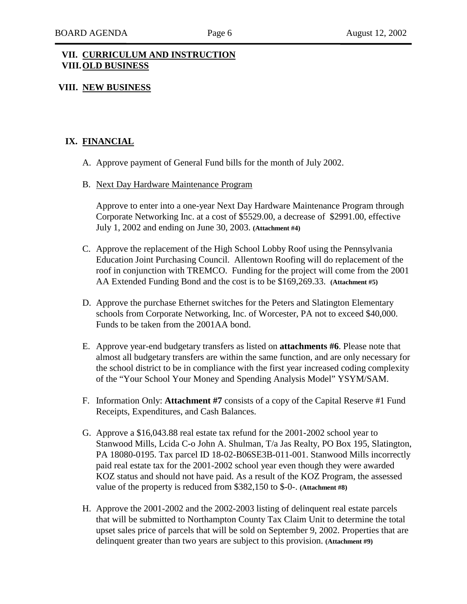#### **VII. CURRICULUM AND INSTRUCTION VIII. OLD BUSINESS**

#### **VIII. NEW BUSINESS**

### **IX. FINANCIAL**

- A. Approve payment of General Fund bills for the month of July 2002.
- B. Next Day Hardware Maintenance Program

Approve to enter into a one-year Next Day Hardware Maintenance Program through Corporate Networking Inc. at a cost of \$5529.00, a decrease of \$2991.00, effective July 1, 2002 and ending on June 30, 2003. **(Attachment #4)**

- C. Approve the replacement of the High School Lobby Roof using the Pennsylvania Education Joint Purchasing Council. Allentown Roofing will do replacement of the roof in conjunction with TREMCO. Funding for the project will come from the 2001 AA Extended Funding Bond and the cost is to be \$169,269.33. **(Attachment #5)**
- D. Approve the purchase Ethernet switches for the Peters and Slatington Elementary schools from Corporate Networking, Inc. of Worcester, PA not to exceed \$40,000. Funds to be taken from the 2001AA bond.
- E. Approve year-end budgetary transfers as listed on **attachments #6**. Please note that almost all budgetary transfers are within the same function, and are only necessary for the school district to be in compliance with the first year increased coding complexity of the "Your School Your Money and Spending Analysis Model" YSYM/SAM.
- F. Information Only: **Attachment #7** consists of a copy of the Capital Reserve #1 Fund Receipts, Expenditures, and Cash Balances.
- G. Approve a \$16,043.88 real estate tax refund for the 2001-2002 school year to Stanwood Mills, Lcida C-o John A. Shulman, T/a Jas Realty, PO Box 195, Slatington, PA 18080-0195. Tax parcel ID 18-02-B06SE3B-011-001. Stanwood Mills incorrectly paid real estate tax for the 2001-2002 school year even though they were awarded KOZ status and should not have paid. As a result of the KOZ Program, the assessed value of the property is reduced from \$382,150 to \$-0-. **(Attachment #8)**
- H. Approve the 2001-2002 and the 2002-2003 listing of delinquent real estate parcels that will be submitted to Northampton County Tax Claim Unit to determine the total upset sales price of parcels that will be sold on September 9, 2002. Properties that are delinquent greater than two years are subject to this provision. **(Attachment #9)**